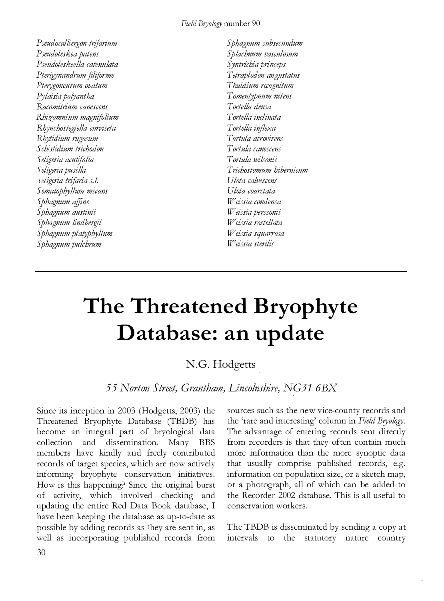## Field Bryology number 90

Pseudocalliergon trifarium Pseudoleskea patens P seudoles keella catenulata Pterigynandrum filiforme Pterygoneurum ovatum Pylaisia polyantha Racomitrium canescens Rhizomnium magnifolium Rhynchostegiella curviseta Rhytidium rugosum S chistidium trichodon Seligeria acutifolia , \ eligen·a pusilla ,) eiigeria trifaria s.l. Sematophyllum micans Sphagnum affine Sphagnum austinii Sphagnum lindbergii Sphagnum platyphyllum Sphagnum pulchrum

Sphagnum subsecundum Splachnum vasculosum Syntrichia princeps Tetraplodon angustatus Thuidium recognitum Tomentypnum nitens Tortella densa Tortella inclinata Tortella inflexa Tortula atrovirens Tortula canescens Tortula wilsonii Trichostomum hibernicum Ulota calvescens Ulota coarctata Weissia condensa Weissia perssonii Weissia rostellata Weissia squarrosa Weissia sterilis

## The Threatened Bryophyte Database: an update

## N.G. Hodgetts

55 Norton Street, Grantham, Lincolnshire, NG31 6BX

Since its inception in 2003 (Hodgetts, 2003) the Threatened Bryophyte Database (TBDB) has become an integral part of bryological data collection and dissemination. Many BBS members have kindly and freely contributed records of target species, which are now actively informing bryophyte conservation initiatives. How is this happening? Since the original burst of activity, which involved checking and updating the entire Red Data Book database, I have been keeping the database as up-to-date as possible by adding records as they are sent in, as well as incorporating published records from

sources such as the new vice-county records and the 'rare and interesting' column in Field Bryology. The advantage of entering records sent directly from recorders is that they often contain much more information than the more synoptic data that usually comprise published records, e.g. information on population size, or a sketch map, or a photograph, all of which can be added to the Recorder 2002 database. This is all useful to conservation workers.

The TBDB is disseminated by sending a copy at intervals to the statutory nature country